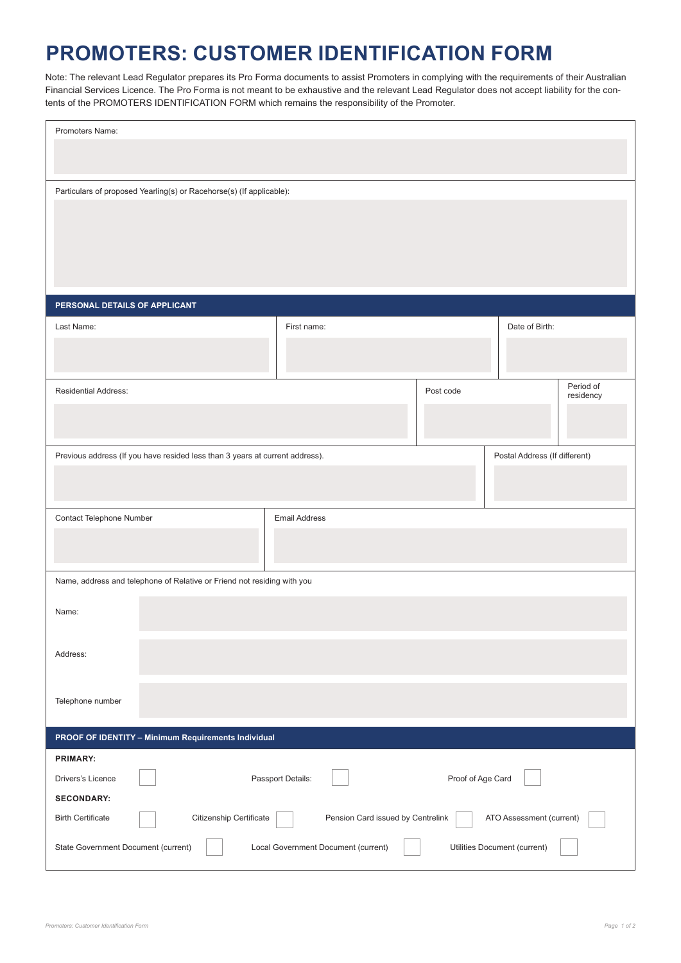## **PROMOTERS: CUSTOMER IDENTIFICATION FORM**

Note: The relevant Lead Regulator prepares its Pro Forma documents to assist Promoters in complying with the requirements of their Australian Financial Services Licence. The Pro Forma is not meant to be exhaustive and the relevant Lead Regulator does not accept liability for the contents of the PROMOTERS IDENTIFICATION FORM which remains the responsibility of the Promoter.

| Promoters Name:                                                                                               |                                   |           |                          |  |  |
|---------------------------------------------------------------------------------------------------------------|-----------------------------------|-----------|--------------------------|--|--|
|                                                                                                               |                                   |           |                          |  |  |
| Particulars of proposed Yearling(s) or Racehorse(s) (If applicable):                                          |                                   |           |                          |  |  |
|                                                                                                               |                                   |           |                          |  |  |
|                                                                                                               |                                   |           |                          |  |  |
|                                                                                                               |                                   |           |                          |  |  |
| PERSONAL DETAILS OF APPLICANT                                                                                 |                                   |           |                          |  |  |
| Last Name:                                                                                                    | First name:                       |           | Date of Birth:           |  |  |
|                                                                                                               |                                   |           |                          |  |  |
| Residential Address:                                                                                          |                                   | Post code | Period of<br>residency   |  |  |
|                                                                                                               |                                   |           |                          |  |  |
|                                                                                                               |                                   |           |                          |  |  |
| Previous address (If you have resided less than 3 years at current address).<br>Postal Address (If different) |                                   |           |                          |  |  |
|                                                                                                               |                                   |           |                          |  |  |
| Contact Telephone Number                                                                                      | <b>Email Address</b>              |           |                          |  |  |
|                                                                                                               |                                   |           |                          |  |  |
|                                                                                                               |                                   |           |                          |  |  |
| Name, address and telephone of Relative or Friend not residing with you                                       |                                   |           |                          |  |  |
| Name:                                                                                                         |                                   |           |                          |  |  |
| Address:                                                                                                      |                                   |           |                          |  |  |
|                                                                                                               |                                   |           |                          |  |  |
| Telephone number                                                                                              |                                   |           |                          |  |  |
| PROOF OF IDENTITY - Minimum Requirements Individual                                                           |                                   |           |                          |  |  |
| <b>PRIMARY:</b>                                                                                               |                                   |           |                          |  |  |
| Passport Details:<br>Proof of Age Card<br>Drivers's Licence                                                   |                                   |           |                          |  |  |
| <b>SECONDARY:</b><br>Citizenship Certificate<br><b>Birth Certificate</b>                                      | Pension Card issued by Centrelink |           | ATO Assessment (current) |  |  |
| State Government Document (current)<br>Local Government Document (current)<br>Utilities Document (current)    |                                   |           |                          |  |  |